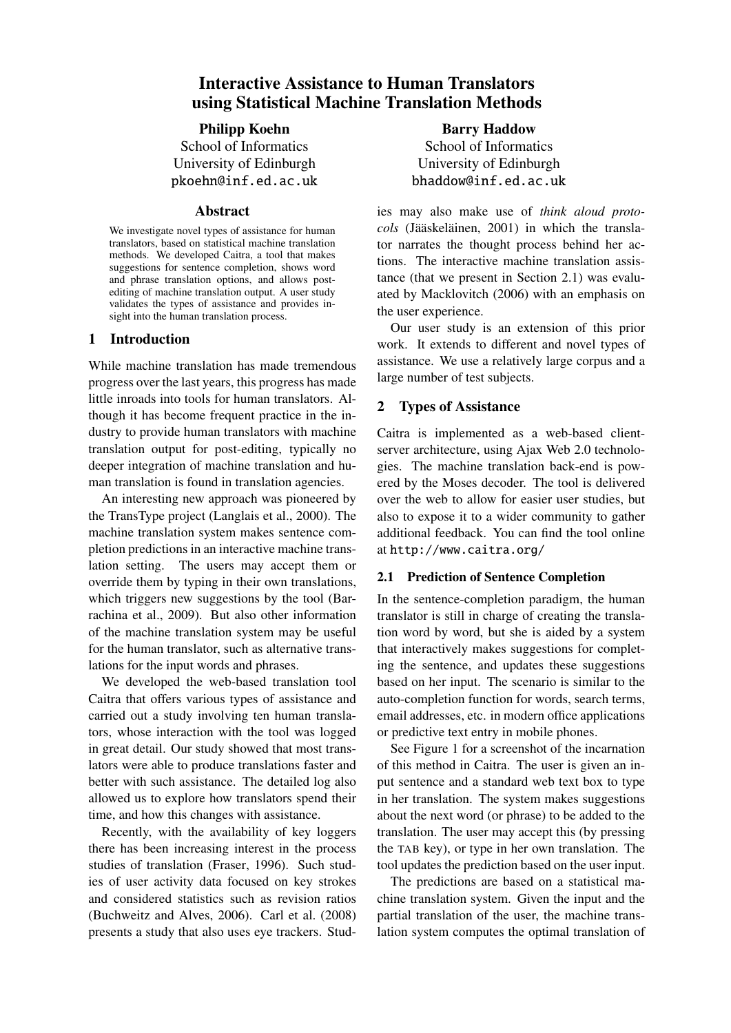# Interactive Assistance to Human Translators using Statistical Machine Translation Methods

## Philipp Koehn

School of Informatics University of Edinburgh pkoehn@inf.ed.ac.uk

### Abstract

We investigate novel types of assistance for human translators, based on statistical machine translation methods. We developed Caitra, a tool that makes suggestions for sentence completion, shows word and phrase translation options, and allows postediting of machine translation output. A user study validates the types of assistance and provides insight into the human translation process.

# 1 Introduction

While machine translation has made tremendous progress over the last years, this progress has made little inroads into tools for human translators. Although it has become frequent practice in the industry to provide human translators with machine translation output for post-editing, typically no deeper integration of machine translation and human translation is found in translation agencies.

An interesting new approach was pioneered by the TransType project (Langlais et al., 2000). The machine translation system makes sentence completion predictions in an interactive machine translation setting. The users may accept them or override them by typing in their own translations, which triggers new suggestions by the tool (Barrachina et al., 2009). But also other information of the machine translation system may be useful for the human translator, such as alternative translations for the input words and phrases.

We developed the web-based translation tool Caitra that offers various types of assistance and carried out a study involving ten human translators, whose interaction with the tool was logged in great detail. Our study showed that most translators were able to produce translations faster and better with such assistance. The detailed log also allowed us to explore how translators spend their time, and how this changes with assistance.

Recently, with the availability of key loggers there has been increasing interest in the process studies of translation (Fraser, 1996). Such studies of user activity data focused on key strokes and considered statistics such as revision ratios (Buchweitz and Alves, 2006). Carl et al. (2008) presents a study that also uses eye trackers. Stud-

Barry Haddow School of Informatics University of Edinburgh bhaddow@inf.ed.ac.uk

ies may also make use of *think aloud protocols* (Jääskeläinen, 2001) in which the translator narrates the thought process behind her actions. The interactive machine translation assistance (that we present in Section 2.1) was evaluated by Macklovitch (2006) with an emphasis on the user experience.

Our user study is an extension of this prior work. It extends to different and novel types of assistance. We use a relatively large corpus and a large number of test subjects.

# 2 Types of Assistance

Caitra is implemented as a web-based clientserver architecture, using Ajax Web 2.0 technologies. The machine translation back-end is powered by the Moses decoder. The tool is delivered over the web to allow for easier user studies, but also to expose it to a wider community to gather additional feedback. You can find the tool online at http://www.caitra.org/

# 2.1 Prediction of Sentence Completion

In the sentence-completion paradigm, the human translator is still in charge of creating the translation word by word, but she is aided by a system that interactively makes suggestions for completing the sentence, and updates these suggestions based on her input. The scenario is similar to the auto-completion function for words, search terms, email addresses, etc. in modern office applications or predictive text entry in mobile phones.

See Figure 1 for a screenshot of the incarnation of this method in Caitra. The user is given an input sentence and a standard web text box to type in her translation. The system makes suggestions about the next word (or phrase) to be added to the translation. The user may accept this (by pressing the TAB key), or type in her own translation. The tool updates the prediction based on the user input.

The predictions are based on a statistical machine translation system. Given the input and the partial translation of the user, the machine translation system computes the optimal translation of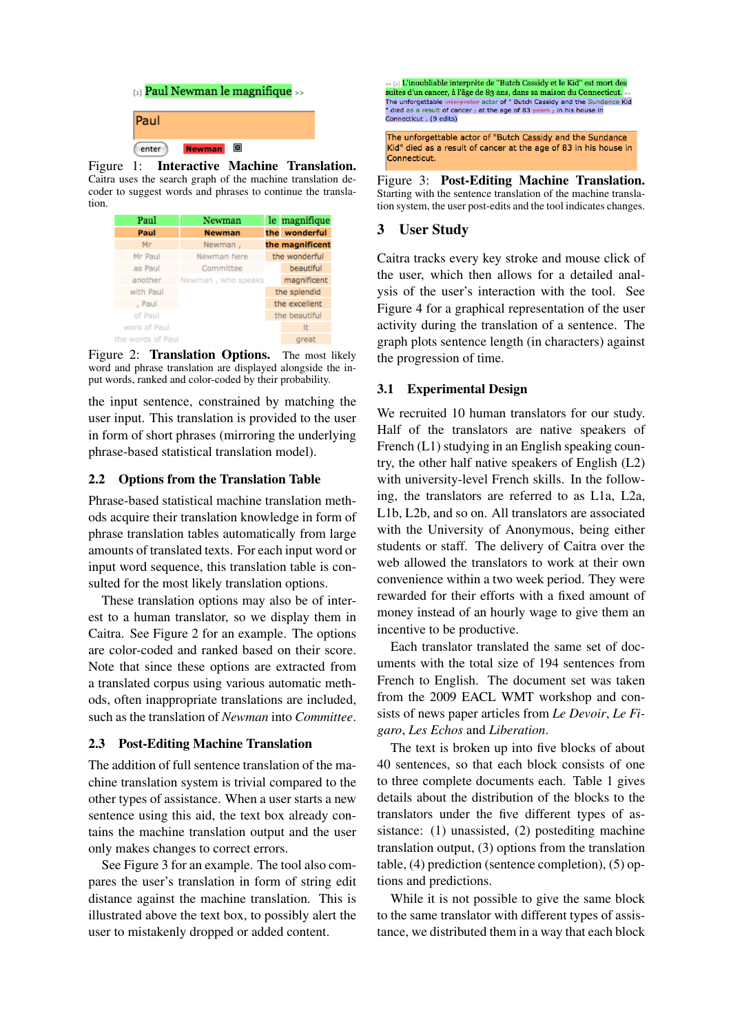|       |                    | $_{[1]}$ Paul Newman le magnifique $_{\geq}$ |  |
|-------|--------------------|----------------------------------------------|--|
| Paul  |                    |                                              |  |
| enter | ⊠<br><b>Newman</b> |                                              |  |

Figure 1: Interactive Machine Translation. Caitra uses the search graph of the machine translation decoder to suggest words and phrases to continue the translation.

| Paul              | Newman             | le magnifique   |
|-------------------|--------------------|-----------------|
| Paul              | <b>Newman</b>      | the wonderful   |
| Mr                | Newman,            | the magnificent |
| Mr Paul           | Newman here        | the wonderful   |
| as Paul           | Committee          | beautiful       |
| another           | Newman, who speaks | magnificent     |
| with Paul         |                    | the splendid    |
| , Paul            |                    | the excellent   |
| of Paul           |                    | the beautiful   |
| work of Paul      |                    | It              |
| the words of Paul |                    | great           |

Figure 2: Translation Options. The most likely word and phrase translation are displayed alongside the input words, ranked and color-coded by their probability.

the input sentence, constrained by matching the user input. This translation is provided to the user in form of short phrases (mirroring the underlying phrase-based statistical translation model).

### 2.2 Options from the Translation Table

Phrase-based statistical machine translation methods acquire their translation knowledge in form of phrase translation tables automatically from large amounts of translated texts. For each input word or input word sequence, this translation table is consulted for the most likely translation options.

These translation options may also be of interest to a human translator, so we display them in Caitra. See Figure 2 for an example. The options are color-coded and ranked based on their score. Note that since these options are extracted from a translated corpus using various automatic methods, often inappropriate translations are included, such as the translation of *Newman* into *Committee*.

#### 2.3 Post-Editing Machine Translation

The addition of full sentence translation of the machine translation system is trivial compared to the other types of assistance. When a user starts a new sentence using this aid, the text box already contains the machine translation output and the user only makes changes to correct errors.

See Figure 3 for an example. The tool also compares the user's translation in form of string edit distance against the machine translation. This is illustrated above the text box, to possibly alert the user to mistakenly dropped or added content.

[2] L'inoubliable interprète de "Butch Cassidy et le Kid" est mort des Suites d'un cancer, à l'âge de 83 ans, dans sa maison du Connecticut.<br>
The unforgettable interpreter actor of " Butch Cassidy and the Sundance Kid The interpreter actor of Batch cassing and the sund<br>the of cancer  $\frac{1}{7}$  at the age of 83 years  $\frac{1}{7}$  in his house in Connecticut . (9 edits) The unforgettable actor of "Butch Cassidy and the Sundance Kid" died as a result of cancer at the age of 83 in his house in Connecticut.

Figure 3: Post-Editing Machine Translation. Starting with the sentence translation of the machine translation system, the user post-edits and the tool indicates changes.

# 3 User Study

Caitra tracks every key stroke and mouse click of the user, which then allows for a detailed analysis of the user's interaction with the tool. See Figure 4 for a graphical representation of the user activity during the translation of a sentence. The graph plots sentence length (in characters) against the progression of time.

# 3.1 Experimental Design

We recruited 10 human translators for our study. Half of the translators are native speakers of French (L1) studying in an English speaking country, the other half native speakers of English (L2) with university-level French skills. In the following, the translators are referred to as L1a, L2a, L1b, L2b, and so on. All translators are associated with the University of Anonymous, being either students or staff. The delivery of Caitra over the web allowed the translators to work at their own convenience within a two week period. They were rewarded for their efforts with a fixed amount of money instead of an hourly wage to give them an incentive to be productive.

Each translator translated the same set of documents with the total size of 194 sentences from French to English. The document set was taken from the 2009 EACL WMT workshop and consists of news paper articles from *Le Devoir*, *Le Figaro*, *Les Echos* and *Liberation*.

The text is broken up into five blocks of about 40 sentences, so that each block consists of one to three complete documents each. Table 1 gives details about the distribution of the blocks to the translators under the five different types of assistance: (1) unassisted, (2) postediting machine translation output, (3) options from the translation table, (4) prediction (sentence completion), (5) options and predictions.

While it is not possible to give the same block to the same translator with different types of assistance, we distributed them in a way that each block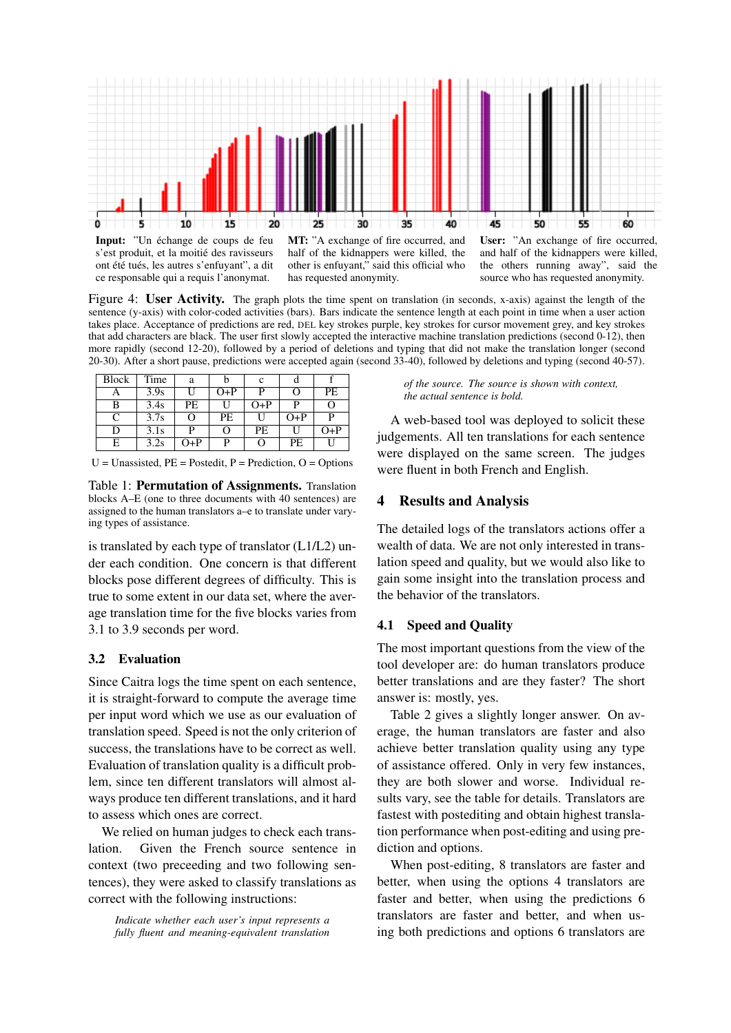

s'est produit, et la moitié des ravisseurs ont été tués, les autres s'enfuyant", a dit ce responsable qui a requis l'anonymat.

MT: "A exchange of fire occurred, and half of the kidnappers were killed, the other is enfuyant," said this official who has requested anonymity.

User: "An exchange of fire occurred, and half of the kidnappers were killed, the others running away", said the source who has requested anonymity.

Figure 4: User Activity. The graph plots the time spent on translation (in seconds, x-axis) against the length of the sentence (y-axis) with color-coded activities (bars). Bars indicate the sentence length at each point in time when a user action takes place. Acceptance of predictions are red, DEL key strokes purple, key strokes for cursor movement grey, and key strokes that add characters are black. The user first slowly accepted the interactive machine translation predictions (second 0-12), then more rapidly (second 12-20), followed by a period of deletions and typing that did not make the translation longer (second 20-30). After a short pause, predictions were accepted again (second 33-40), followed by deletions and typing (second 40-57).

| <b>Block</b> | Time | a   |       | c         |           |       |
|--------------|------|-----|-------|-----------|-----------|-------|
|              | 3.9s |     | $O+P$ | р         | O         | РE    |
| B            | 3.4s | PE. |       | O+P       | P         |       |
| $\subset$    | 3.7s |     | PE    | H         | $O+P$     | р     |
| D            | 3.1s | D   | ( )   | <b>PE</b> |           | $O+P$ |
| E            | 3.2s | O+P | D     | 0         | <b>PE</b> |       |

 $U =$  Unassisted,  $PE =$  Postedit,  $P =$  Prediction,  $O =$  Options

Table 1: Permutation of Assignments. Translation blocks A–E (one to three documents with 40 sentences) are assigned to the human translators a–e to translate under varying types of assistance.

is translated by each type of translator  $(L1/L2)$  under each condition. One concern is that different blocks pose different degrees of difficulty. This is true to some extent in our data set, where the average translation time for the five blocks varies from 3.1 to 3.9 seconds per word.

#### 3.2 Evaluation

Since Caitra logs the time spent on each sentence, it is straight-forward to compute the average time per input word which we use as our evaluation of translation speed. Speed is not the only criterion of success, the translations have to be correct as well. Evaluation of translation quality is a difficult problem, since ten different translators will almost always produce ten different translations, and it hard to assess which ones are correct.

We relied on human judges to check each translation. Given the French source sentence in context (two preceeding and two following sentences), they were asked to classify translations as correct with the following instructions:

*Indicate whether each user's input represents a fully fluent and meaning-equivalent translation*

*of the source. The source is shown with context, the actual sentence is bold.*

A web-based tool was deployed to solicit these judgements. All ten translations for each sentence were displayed on the same screen. The judges were fluent in both French and English.

#### 4 Results and Analysis

The detailed logs of the translators actions offer a wealth of data. We are not only interested in translation speed and quality, but we would also like to gain some insight into the translation process and the behavior of the translators.

### 4.1 Speed and Quality

The most important questions from the view of the tool developer are: do human translators produce better translations and are they faster? The short answer is: mostly, yes.

Table 2 gives a slightly longer answer. On average, the human translators are faster and also achieve better translation quality using any type of assistance offered. Only in very few instances, they are both slower and worse. Individual results vary, see the table for details. Translators are fastest with postediting and obtain highest translation performance when post-editing and using prediction and options.

When post-editing, 8 translators are faster and better, when using the options 4 translators are faster and better, when using the predictions 6 translators are faster and better, and when using both predictions and options 6 translators are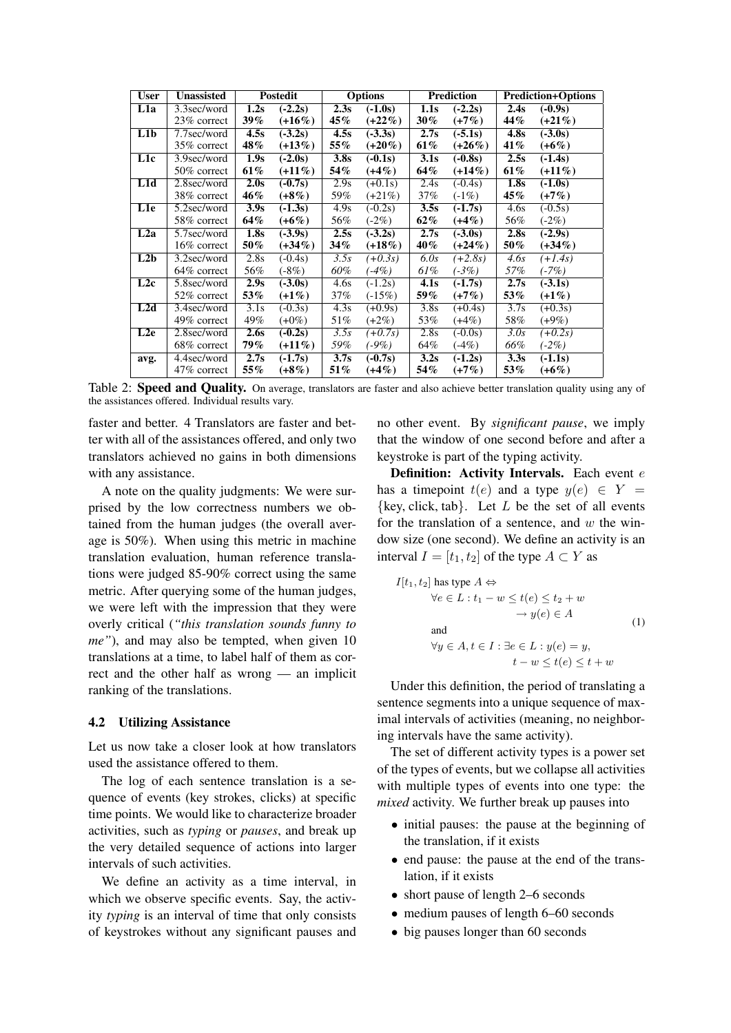| <b>User</b> | <b>Unassisted</b>         | <b>Postedit</b> |                      | <b>Options</b>    |           | <b>Prediction</b> |           | <b>Prediction+Options</b> |           |
|-------------|---------------------------|-----------------|----------------------|-------------------|-----------|-------------------|-----------|---------------------------|-----------|
| L1a         | 3.3sec/word               | 1.2s            | $(-2.2s)$            | 2.3s              | $(-1.0s)$ | 1.1s              | $(-2.2s)$ | 2.4s                      | $(-0.9s)$ |
|             | 23% correct               | $39\%$          | $(+16\%)$            | 45%               | $(+22\%)$ | $30\%$            | $(+7%)$   | 44%                       | $(+21\%)$ |
| L1b         | 7.7sec/word               | 4.5s            | $(-3.2s)$            | 4.5s              | $(-3.3s)$ | 2.7s              | $(-5.1s)$ | 4.8s                      | $(-3.0s)$ |
|             | 35% correct               | 48%             | $(+13%)$             | 55%               | $(+20\%)$ | 61%               | $(+26\%)$ | 41%                       | $(+6%)$   |
| L1c         | 3.9sec/word               | 1.9s            | $(-2.0s)$            | 3.8s              | $(-0.1s)$ | 3.1s              | $(-0.8s)$ | 2.5s                      | $(-1.4s)$ |
|             | 50% correct               | 61%             | $(+11\%)$            | 54%               | $(+4%)$   | 64%               | $(+14\%)$ | 61%                       | $(+11\%)$ |
| L1d         | 2.8sec/word               | 2.0s            | $(-0.7s)$            | 2.9s              | $(+0.1s)$ | 2.4s              | $(-0.4s)$ | 1.8 <sub>s</sub>          | $(-1.0s)$ |
|             | 38% correct               | 46%             | $(+8\%)$             | 59%               | $(+21\%)$ | 37%               | $(-1%)$   | 45%                       | $(+7%)$   |
| L1e         | 5.2sec/word               | 3.9s            | $(-1.3s)$            | 4.9s              | $(-0.2s)$ | 3.5s              | $(-1.7s)$ | 4.6s                      | $(-0.5s)$ |
|             | 58\% correct              | 64%             | $(+6%)$              | 56%               | $(-2%)$   | 62%               | $(+4%)$   | 56%                       | $(-2%)$   |
| L2a         | 5.7sec/word               | 1.8s            | $(-3.9s)$            | 2.5s              | $(-3.2s)$ | 2.7s              | $(-3.0s)$ | 2.8s                      | $(-2.9s)$ |
|             | 16% correct               | 50%             | $(+34\%)$            | 34%               | $(+18\%)$ | 40%               | $(+24\%)$ | 50%                       | $(+34\%)$ |
| L2b         | $\overline{3.2}$ sec/word | 2.8s            | $(-0.4s)$            | 3.5s              | $(+0.3s)$ | 6.0s              | $(+2.8s)$ | 4.6s                      | $(+1.4s)$ |
|             | 64% correct               | 56%             | $(-8%)$              | 60%               | $(4\%)$   | 61%               | $(-3%)$   | 57%                       | $(-7%)$   |
| L2c         | 5.8sec/word               | 2.9s            | $(-3.0s)$            | 4.6s              | $(-1.2s)$ | 4.1s              | $(-1.7s)$ | 2.7s                      | $(-3.1s)$ |
|             | 52% correct               | 53%             | $(+1\%)$             | 37%               | $(-15%)$  | 59%               | $(+7%)$   | 53%                       | $(+1\%)$  |
| L2d         | 3.4sec/word               | 3.1s            | $\overline{(-0.3s)}$ | 4.3s              | $(+0.9s)$ | 3.8s              | $(+0.4s)$ | 3.7s                      | $(+0.3s)$ |
|             | 49% correct               | 49%             | $(+0\%)$             | 51%               | $(+2%)$   | 53%               | $(+4%)$   | 58%                       | $(+9%)$   |
| L2e         | 2.8sec/word               | 2.6s            | $(-0.2s)$            | 3.5s              | $(+0.7s)$ | 2.8s              | $(-0.0s)$ | 3.0s                      | $(+0.2s)$ |
|             | 68% correct               | 79%             | $(+11\%)$            | 59%               | $(-9\%)$  | 64%               | $(-4%)$   | 66%                       | $(-2%)$   |
| avg.        | 4.4sec/word               | 2.7s            | $(-1.7s)$            | $\overline{3.7s}$ | $(-0.7s)$ | 3.2s              | $(-1.2s)$ | 3.3s                      | $(-1.1s)$ |
|             | 47\% correct              | 55%             | $(+8%)$              | 51%               | $(+4%)$   | 54%               | $(+7%)$   | 53%                       | $(+6%)$   |

Table 2: **Speed and Quality.** On average, translators are faster and also achieve better translation quality using any of the assistances offered. Individual results vary.

faster and better. 4 Translators are faster and better with all of the assistances offered, and only two translators achieved no gains in both dimensions with any assistance.

A note on the quality judgments: We were surprised by the low correctness numbers we obtained from the human judges (the overall average is 50%). When using this metric in machine translation evaluation, human reference translations were judged 85-90% correct using the same metric. After querying some of the human judges, we were left with the impression that they were overly critical (*"this translation sounds funny to me"*), and may also be tempted, when given 10 translations at a time, to label half of them as correct and the other half as wrong — an implicit ranking of the translations.

#### 4.2 Utilizing Assistance

Let us now take a closer look at how translators used the assistance offered to them.

The log of each sentence translation is a sequence of events (key strokes, clicks) at specific time points. We would like to characterize broader activities, such as *typing* or *pauses*, and break up the very detailed sequence of actions into larger intervals of such activities.

We define an activity as a time interval, in which we observe specific events. Say, the activity *typing* is an interval of time that only consists of keystrokes without any significant pauses and

no other event. By *significant pause*, we imply that the window of one second before and after a keystroke is part of the typing activity.

Definition: Activity Intervals. Each event e has a timepoint  $t(e)$  and a type  $y(e) \in Y =$  $\{key, click, tab\}$ . Let L be the set of all events for the translation of a sentence, and  $w$  the window size (one second). We define an activity is an interval  $I = [t_1, t_2]$  of the type  $A \subset Y$  as

$$
I[t_1, t_2] \text{ has type } A \Leftrightarrow
$$
  
\n
$$
\forall e \in L : t_1 - w \le t(e) \le t_2 + w
$$
  
\n
$$
\rightarrow y(e) \in A
$$
  
\nand  
\n
$$
\forall y \in A, t \in I : \exists e \in L : y(e) = y,
$$
  
\n
$$
t - w \le t(e) \le t + w
$$

Under this definition, the period of translating a sentence segments into a unique sequence of maximal intervals of activities (meaning, no neighboring intervals have the same activity).

The set of different activity types is a power set of the types of events, but we collapse all activities with multiple types of events into one type: the *mixed* activity. We further break up pauses into

- initial pauses: the pause at the beginning of the translation, if it exists
- end pause: the pause at the end of the translation, if it exists
- short pause of length 2–6 seconds
- medium pauses of length 6–60 seconds
- big pauses longer than 60 seconds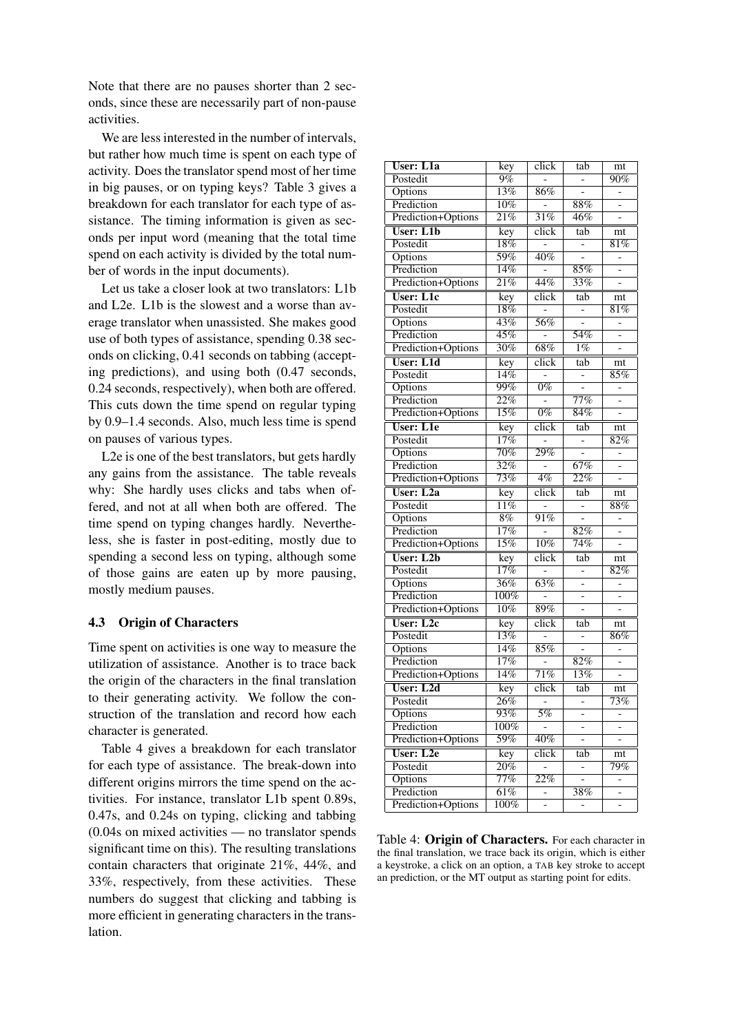Note that there are no pauses shorter than 2 seconds, since these are necessarily part of non-pause activities.

We are less interested in the number of intervals, but rather how much time is spent on each type of activity. Does the translator spend most of her time in big pauses, or on typing keys? Table 3 gives a breakdown for each translator for each type of assistance. The timing information is given as seconds per input word (meaning that the total time spend on each activity is divided by the total number of words in the input documents).

Let us take a closer look at two translators: L1b and L2e. L1b is the slowest and a worse than average translator when unassisted. She makes good use of both types of assistance, spending 0.38 seconds on clicking, 0.41 seconds on tabbing (accepting predictions), and using both (0.47 seconds, 0.24 seconds, respectively), when both are offered. This cuts down the time spend on regular typing by 0.9–1.4 seconds. Also, much less time is spend on pauses of various types.

L2e is one of the best translators, but gets hardly any gains from the assistance. The table reveals why: She hardly uses clicks and tabs when offered, and not at all when both are offered. The time spend on typing changes hardly. Nevertheless, she is faster in post-editing, mostly due to spending a second less on typing, although some of those gains are eaten up by more pausing, mostly medium pauses.

#### 4.3 Origin of Characters

Time spent on activities is one way to measure the utilization of assistance. Another is to trace back the origin of the characters in the final translation to their generating activity. We follow the construction of the translation and record how each character is generated.

Table 4 gives a breakdown for each translator for each type of assistance. The break-down into different origins mirrors the time spend on the activities. For instance, translator L1b spent 0.89s, 0.47s, and 0.24s on typing, clicking and tabbing (0.04s on mixed activities — no translator spends significant time on this). The resulting translations contain characters that originate 21%, 44%, and 33%, respectively, from these activities. These numbers do suggest that clicking and tabbing is more efficient in generating characters in the translation.

| <b>User: L1a</b>   | key                     | click                     | tab                      | mt                       |
|--------------------|-------------------------|---------------------------|--------------------------|--------------------------|
| Postedit           | 9%                      |                           |                          | 90%                      |
| Options            | 13%                     | 86%                       |                          |                          |
| Prediction         | 10%                     |                           | 88%                      |                          |
| Prediction+Options | 21%                     | $\overline{31\%}$         | 46%                      |                          |
| <b>User: L1b</b>   | key                     | click                     | tab                      | mt                       |
| Postedit           | $\overline{18\%}$       | $\overline{a}$            | $\overline{a}$           | 81%                      |
| Options            | 59%                     | 40%                       |                          |                          |
| Prediction         | 14%                     | $\overline{\phantom{0}}$  | 85%                      |                          |
| Prediction+Options | $\overline{21\%}$       | 44%                       | 33%                      |                          |
| User: L1c          | key                     | click                     | tab                      | mt                       |
| Postedit           | 18%                     |                           |                          | 81%                      |
| Options            | 43%                     | 56%                       |                          |                          |
| Prediction         | $\overline{45\%}$       |                           | $\overline{54\%}$        |                          |
| Prediction+Options | 30%                     | 68%                       | $1\%$                    | $\overline{a}$           |
| <b>User: L1d</b>   | key                     | click                     | tab                      | mt                       |
| Postedit           | 14%                     |                           |                          | 85%                      |
| Options            | 99%                     | $0\%$                     |                          | -                        |
| Prediction         | $\overline{22\%}$       |                           | $\overline{77\%}$        |                          |
| Prediction+Options | 15%                     | $0\%$                     | 84%                      | $\overline{a}$           |
| <b>User: L1e</b>   | $\overline{\text{key}}$ | $\overline{\text{click}}$ | $\overline{\text{tab}}$  | mt                       |
| Postedit           | 17%                     |                           |                          | 82%                      |
| Options            | $\overline{70\%}$       | 29%                       |                          |                          |
| Prediction         | $\overline{32\%}$       |                           | 67%                      |                          |
| Prediction+Options | 73%                     | $4\%$                     | 22%                      |                          |
| <b>User: L2a</b>   | key                     | $\overline{\text{click}}$ | tab                      | mt                       |
| Postedit           | 11%                     |                           |                          | 88%                      |
| Options            | $8\%$                   | $\overline{91\%}$         | -                        |                          |
| Prediction         | 17%                     |                           | 82%                      | $\overline{a}$           |
| Prediction+Options | 15%                     | 10%                       | 74%                      |                          |
| User: $L2b$        | $\frac{1}{\text{key}}$  | $\overline{\text{click}}$ | tab                      | mt                       |
| Postedit           | 17%                     |                           |                          | 82%                      |
| Options            | $\overline{36\%}$       | $\overline{63\%}$         |                          |                          |
| Prediction         | 100%                    |                           |                          |                          |
| Prediction+Options | 10%                     | 89%                       |                          |                          |
| User: L2c          | key                     | $\overline{\text{click}}$ | tab                      |                          |
| Postedit           | 13%                     |                           |                          | mt<br>86%                |
| Options            | 14%                     | 85%                       |                          | $\overline{\phantom{0}}$ |
| Prediction         | 17%                     | $\overline{a}$            | 82%                      |                          |
| Prediction+Options | 14%                     | 71%                       | 13%                      | -                        |
| User: L2d          |                         |                           |                          |                          |
|                    | key                     | click                     | tab                      | mt                       |
| Postedit           | $26\%$                  | $\overline{a}$            |                          | 73%                      |
| Options            | 93%                     | 5%                        | -                        | -                        |
| Prediction         | 100%                    | $\overline{\phantom{0}}$  | $\overline{\phantom{0}}$ | $\overline{\phantom{0}}$ |
| Prediction+Options | $\overline{59\%}$       | 40%                       |                          |                          |
| User: L2e          | key                     | click                     | tab                      | mt                       |
| Postedit           | 20%                     |                           |                          | 79%                      |
| Options            | 77%                     | $\overline{22\%}$         |                          | -                        |
| Prediction         | 61%                     | -                         | 38%                      | -                        |
| Prediction+Options | 100%                    |                           |                          |                          |

Table 4: Origin of Characters. For each character in the final translation, we trace back its origin, which is either a keystroke, a click on an option, a TAB key stroke to accept an prediction, or the MT output as starting point for edits.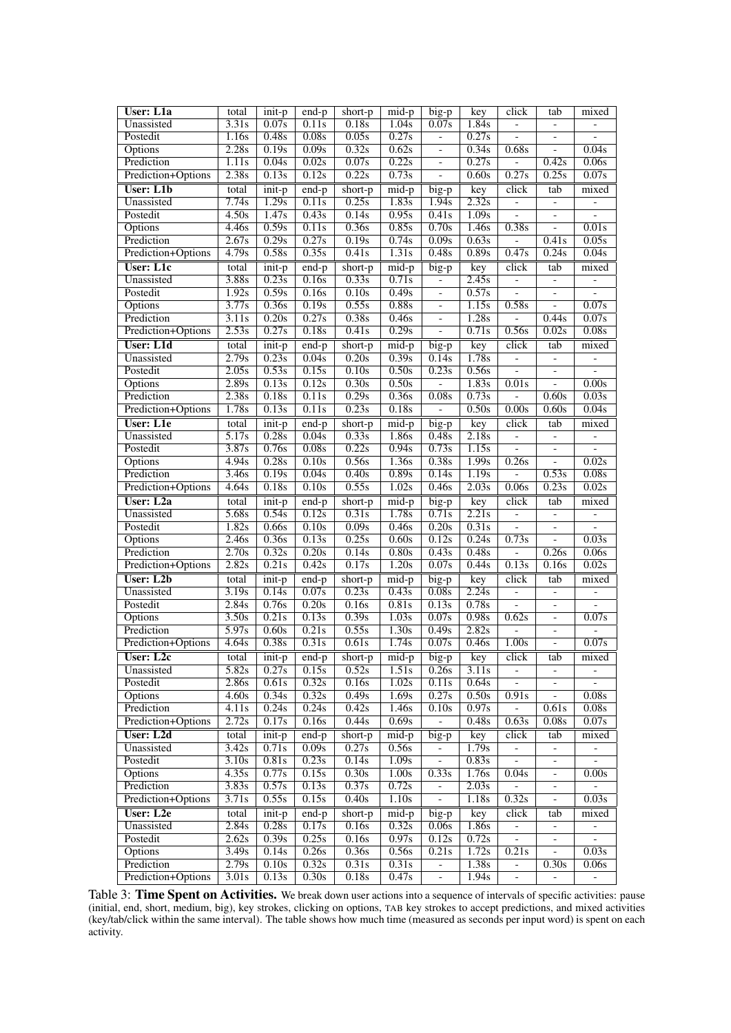| User: L1a                        | total                       | init-p                     | $end-p$                  | short-p        | mid-p              | $b$ ig-p                                  | key                | click                    | tab                             | mixed                      |
|----------------------------------|-----------------------------|----------------------------|--------------------------|----------------|--------------------|-------------------------------------------|--------------------|--------------------------|---------------------------------|----------------------------|
| Unassisted                       | 3.31s                       | 0.07s                      | 0.11s                    | 0.18s          | 1.04s              | 0.07s                                     | 1.84s              |                          | $\overline{\phantom{a}}$        |                            |
| Postedit                         | 1.16s                       | 0.48s                      | 0.08s                    | 0.05s          | 0.27s              | $\frac{1}{2}$                             | 0.27s              | $\overline{a}$           | $\overline{a}$                  |                            |
| Options                          | 2.28s                       | 0.19s                      | 0.09s                    | 0.32s          | 0.62s              | $\qquad \qquad -$                         | 0.34s              | 0.68s                    | $\overline{\phantom{0}}$        | 0.04s                      |
| Prediction                       | 1.11s                       | 0.04s                      | 0.02s                    | 0.07s          | 0.22s              | $\qquad \qquad \blacksquare$              | 0.27s              | $\overline{a}$           | 0.42s                           | 0.06s                      |
| Prediction+Options               | 2.38s                       | 0.13s                      | 0.12s                    | 0.22s          | 0.73s              | $\overline{a}$                            | 0.60s              | 0.27s                    | 0.25s                           | 0.07s                      |
|                                  |                             |                            |                          |                |                    |                                           |                    |                          |                                 |                            |
| <b>User: L1b</b>                 | total                       | init-p                     | end-p                    | short-p        | mid-p              | big-p                                     | key                | click                    | tab                             | mixed                      |
| Unassisted                       | 7.74s                       | 1.29s                      | 0.11s                    | 0.25s          | 1.83s              | 1.94s                                     | 2.32s              | $\overline{\phantom{a}}$ | $\Box$                          | $\overline{a}$             |
| Postedit                         | 4.50s                       | $\overline{1.47s}$         | 0.43s                    | 0.14s          | 0.95s              | 0.41s                                     | $\overline{1.09s}$ | $\overline{a}$           | $\overline{\phantom{0}}$        | $\qquad \qquad -$          |
| Options                          | 4.46s                       | 0.59s                      | 0.11s                    | 0.36s          | 0.85s              | 0.70s                                     | 1.46s              | 0.38s                    | $\frac{1}{2}$                   | 0.01s                      |
| Prediction                       | 2.67s                       | 0.29s                      | 0.27s                    | 0.19s          | 0.74s              | 0.09s                                     | 0.63s              |                          | 0.41s                           | 0.05s                      |
| Prediction+Options               | 4.79s                       | 0.58s                      | 0.35s                    | 0.41s          | 1.31s              | 0.48s                                     | 0.89s              | 0.47s                    | 0.24s                           | 0.04s                      |
| User: L1c                        | total                       | $\overline{\text{init-p}}$ | $\overline{end-p}$       | short-p        | $mid-p$            | big-p                                     | key                | click                    | tab                             | mixed                      |
| Unassisted                       | 3.88s                       | 0.23s                      | 0.16s                    | 0.33s          | 0.71s              | $\frac{1}{2}$                             | 2.45s              | $\overline{\phantom{0}}$ | $\overline{\phantom{a}}$        | $\qquad \qquad -$          |
| Postedit                         | 1.92s                       | 0.59s                      | 0.16s                    | 0.10s          | 0.49s              | $\overline{a}$                            | 0.57s              |                          | $\overline{\phantom{0}}$        |                            |
| Options                          | $\overline{3.77s}$          | 0.36s                      | 0.19s                    | 0.55s          | 0.88s              | $\overline{\phantom{a}}$                  | 1.15s              | 0.58s                    | $\overline{a}$                  | 0.07s                      |
| Prediction                       | 3.11s                       | 0.20s                      | 0.27s                    | 0.38s          | 0.46s              | $\overline{\phantom{0}}$                  | 1.28s              |                          | 0.44s                           | 0.07s                      |
| Prediction+Options               | 2.53s                       | 0.27s                      | 0.18s                    | 0.41s          | 0.29s              | $\overline{\phantom{0}}$                  | 0.71s              | 0.56s                    | 0.02s                           | 0.08s                      |
| <b>User: L1d</b>                 | total                       | init-p                     | $end-p$                  | short-p        | $mid-p$            | big-p                                     | key                | click                    | tab                             | mixed                      |
| Unassisted                       | 2.79s                       | 0.23s                      | 0.04s                    | 0.20s          | 0.39s              | 0.14s                                     | 1.78s              | $\overline{a}$           | $\overline{\phantom{0}}$        |                            |
| Postedit                         | 2.05s                       | 0.53s                      | 0.15s                    | 0.10s          | 0.50s              | 0.23s                                     | 0.56s              | $\overline{a}$           | $\frac{1}{2}$                   | $\overline{a}$             |
| Options                          | 2.89s                       | 0.13s                      | 0.12s                    | 0.30s          | 0.50s              | $\overline{a}$                            | 1.83s              | 0.01s                    |                                 |                            |
|                                  |                             |                            |                          |                |                    |                                           |                    |                          | $\overline{a}$                  | 0.00s                      |
| Prediction                       | 2.38s                       | 0.18s                      | 0.11s                    | 0.29s          | 0.36s              | 0.08s                                     | 0.73s              |                          | 0.60s                           | 0.03s                      |
| Prediction+Options               | 1.78s                       | 0.13s                      | $\overline{0.11s}$       | 0.23s          | 0.18s              | $\frac{1}{2}$                             | 0.50s              | 0.00s                    | 0.60s                           | 0.04s                      |
| <b>User:</b> L1e                 | total                       | $\frac{1}{\text{init-p}}$  | $\frac{1}{\text{end-p}}$ | short-p        | $mid-p$            | $b$ ig-p                                  | key                | click                    | tab                             | mixed                      |
| Unassisted                       | $\overline{5.17s}$          | 0.28s                      | 0.04s                    | 0.33s          | 1.86s              | 0.48s                                     | 2.18s              | $\overline{\phantom{0}}$ | $\overline{\phantom{a}}$        |                            |
| Postedit                         | 3.87s                       | 0.76s                      | 0.08s                    | 0.22s          | 0.94s              | 0.73s                                     | 1.15s              | $\overline{\phantom{a}}$ | $\blacksquare$                  | $\overline{\phantom{a}}$   |
| <b>Options</b>                   | 4.94s                       | 0.28s                      | 0.10s                    | 0.56s          | 1.36s              | 0.38s                                     | 1.99s              | 0.26s                    | $\overline{a}$                  | 0.02s                      |
| Prediction                       | 3.46s                       | 0.19s                      | 0.04s                    | 0.40s          | 0.89s              | 0.14s                                     | 1.19s              |                          | 0.53s                           | 0.08s                      |
| Prediction+Options               | 4.64s                       | 0.18s                      | 0.10s                    | 0.55s          | 1.02s              | 0.46s                                     | 2.03s              | 0.06s                    | 0.23s                           | 0.02s                      |
| User: L2a                        | total                       | $\frac{1}{\text{init-p}}$  | $end-p$                  | short-p        | $mid-p$            | $\frac{1}{\overline{big}}$                | key                | click                    | tab                             | mixed                      |
| Unassisted                       | 5.68s                       | 0.54s                      | 0.12s                    | 0.31s          | 1.78s              | 0.71s                                     | 2.21s              | $\overline{\phantom{0}}$ | $\overline{\phantom{a}}$        | $\qquad \qquad \Box$       |
| Postedit                         | 1.82s                       | 0.66s                      | 0.10s                    | 0.09s          | 0.46s              | 0.20s                                     | 0.31s              |                          | $\frac{1}{2}$                   |                            |
| Options                          | 2.46s                       | 0.36s                      | 0.13s                    | 0.25s          | 0.60s              | 0.12s                                     | 0.24s              | 0.73s                    | $\overline{a}$                  | 0.03s                      |
| Prediction                       | 2.70s                       | 0.32s                      | 0.20s                    | 0.14s          | 0.80s              | 0.43s                                     | 0.48s              | $\overline{a}$           | 0.26s                           | 0.06s                      |
| Prediction+Options               | 2.82s                       | 0.21s                      | 0.42s                    | 0.17s          | 1.20s              | 0.07s                                     | 0.44s              | 0.13s                    | 0.16s                           | 0.02s                      |
| <b>User: L2b</b>                 | total                       | init-p                     | end-p                    | short-p        | $mid-p$            |                                           | key                | click                    | tab                             | mixed                      |
| Unassisted                       | $\overline{3.19s}$          | 0.14s                      | 0.07s                    | 0.23s          | 0.43s              | big-p<br>0.08s                            | 2.24s              |                          | $\blacksquare$                  | $\overline{a}$             |
|                                  |                             |                            |                          |                |                    |                                           |                    | $\blacksquare$           |                                 |                            |
| Postedit                         | 2.84s                       | 0.76s                      | 0.20s                    | 0.16s          | 0.81s              | 0.13s                                     | 0.78s              |                          | $\overline{\phantom{0}}$        |                            |
| <b>Options</b>                   | 3.50s                       | 0.21s                      | 0.13s                    | 0.39s          | $\overline{1.03s}$ | 0.07s                                     | 0.98s              | 0.62s                    | $\overline{a}$                  | 0.07s                      |
| Prediction                       | 5.97s                       | 0.60s                      | 0.21s                    | 0.55s          | $\overline{1.30s}$ | 0.49s                                     | 2.82s              |                          |                                 |                            |
| Prediction+Options               | 4.64s                       | 0.38s                      | 0.31s                    | 0.61s          | 1.74s              | 0.07s                                     | 0.46s              | 1.00s                    | $\overline{a}$                  | 0.07s                      |
| User: L2c                        | total                       | init-p                     | end-p                    | short-p        | mid-p              | big-p                                     | key                | click                    | tab                             | mixed                      |
| Unassisted                       | 5.82s                       | 0.27s                      | 0.15s                    | 0.52s          | 1.51s              | 0.26s                                     | $\overline{3.11s}$ | $\overline{\phantom{a}}$ | $\overline{\phantom{a}}$        | $\overline{\phantom{0}}$   |
| Postedit                         | 2.86s                       | 0.61s                      | 0.32s                    | 0.16s          | 1.02s              | 0.11s                                     | 0.64s              |                          |                                 |                            |
| Options                          | 4.60s                       | 0.34s                      | 0.32s                    | 0.49s          | 1.69s              | 0.27s                                     | 0.50s              | 0.91s                    | $\frac{1}{2}$                   | 0.08s                      |
| Prediction                       |                             |                            | 0.24s                    | 0.42s          | 1.46s              | 0.10s                                     | 0.97s              |                          | 0.61s                           | 0.08s                      |
|                                  | $\overline{4.11}$ s         | 0.24s                      |                          |                |                    |                                           |                    |                          |                                 |                            |
|                                  | 2.72s                       | 0.17s                      | 0.16s                    | 0.44s          | 0.69s              | $\overline{a}$                            | 0.48s              | 0.63s                    | 0.08s                           | 0.07s                      |
| Prediction+Options<br>User: L2d  |                             |                            |                          |                |                    |                                           |                    |                          |                                 |                            |
|                                  | total                       | init-p                     | end-p                    | short-p        | mid-p              | big-p                                     | key                | click                    | tab<br>$\overline{\phantom{a}}$ | mixed                      |
| Unassisted                       | $\overline{3.42s}$          | 0.71s                      | 0.09s                    | 0.27s          | 0.56s              |                                           | 1.79s              |                          |                                 |                            |
| Postedit                         | $\overline{3.10s}$          | 0.81s                      | 0.23s                    | 0.14s          | 1.09s              |                                           | 0.83s              |                          | $\qquad \qquad -$               |                            |
| <b>Options</b>                   | 4.35s                       | 0.77s                      | 0.15s                    | 0.30s          | 1.00s              | 0.33s                                     | 1.76s              | 0.04s                    | $\qquad \qquad -$               | 0.00s                      |
| Prediction                       | $\overline{3.83s}$          | 0.57s                      | 0.13s                    | 0.37s          | 0.72s              | $\overline{\phantom{0}}$                  | 2.03s              |                          |                                 |                            |
| Prediction+Options               | $\overline{3.71s}$          | 0.55s                      | 0.15s                    | 0.40s          | 1.10s              |                                           | 1.18s              | 0.32s                    | $\frac{1}{2}$                   | 0.03s                      |
| User: L2e                        | total                       | $\overline{\text{init-p}}$ | $end-p$                  | short-p        | $mid-p$            | $big-p$                                   | key                | click                    | tab                             | mixed                      |
| Unassisted                       | 2.84s                       | 0.28s                      | 0.17s                    | 0.16s          | 0.32s              | 0.06s                                     | 1.86s              |                          | $\overline{\phantom{0}}$        |                            |
| Postedit                         | 2.62s                       | 0.39s                      | 0.25s                    | 0.16s          | 0.97s              | 0.12s                                     | 0.72s              |                          |                                 |                            |
| <b>Options</b>                   | 3.49s                       | 0.14s                      | 0.26s                    | 0.36s          | 0.56s              | 0.21s                                     | $\overline{1.72s}$ | 0.21s                    |                                 | 0.03s                      |
| Prediction<br>Prediction+Options | 2.79s<br>$\overline{3.01s}$ | 0.10s<br>0.13s             | 0.32s<br>0.30s           | 0.31s<br>0.18s | 0.31s<br>0.47s     | $\frac{1}{2}$<br>$\overline{\phantom{a}}$ | 1.38s<br>1.94s     | $\blacksquare$           | 0.30s                           | 0.06s<br>$\qquad \qquad -$ |

Table 3: Time Spent on Activities. We break down user actions into a sequence of intervals of specific activities: pause (initial, end, short, medium, big), key strokes, clicking on options, TAB key strokes to accept predictions, and mixed activities (key/tab/click within the same interval). The table shows how much time (measured as seconds per input word) is spent on each activity.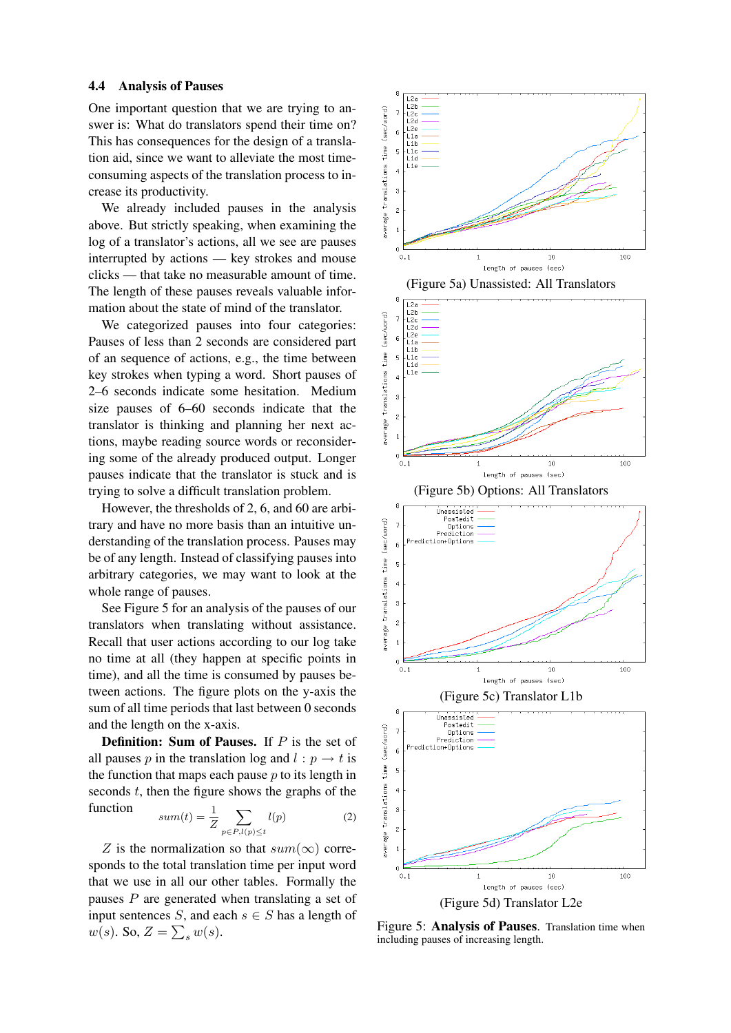#### 4.4 Analysis of Pauses

One important question that we are trying to answer is: What do translators spend their time on? This has consequences for the design of a translation aid, since we want to alleviate the most timeconsuming aspects of the translation process to increase its productivity.

We already included pauses in the analysis above. But strictly speaking, when examining the log of a translator's actions, all we see are pauses interrupted by actions — key strokes and mouse clicks — that take no measurable amount of time. The length of these pauses reveals valuable information about the state of mind of the translator.

We categorized pauses into four categories: Pauses of less than 2 seconds are considered part of an sequence of actions, e.g., the time between key strokes when typing a word. Short pauses of 2–6 seconds indicate some hesitation. Medium size pauses of 6–60 seconds indicate that the translator is thinking and planning her next actions, maybe reading source words or reconsidering some of the already produced output. Longer pauses indicate that the translator is stuck and is trying to solve a difficult translation problem.

However, the thresholds of 2, 6, and 60 are arbitrary and have no more basis than an intuitive understanding of the translation process. Pauses may be of any length. Instead of classifying pauses into arbitrary categories, we may want to look at the whole range of pauses.

See Figure 5 for an analysis of the pauses of our translators when translating without assistance. Recall that user actions according to our log take no time at all (they happen at specific points in time), and all the time is consumed by pauses between actions. The figure plots on the y-axis the sum of all time periods that last between 0 seconds and the length on the x-axis.

**Definition:** Sum of Pauses. If  $P$  is the set of all pauses p in the translation log and  $l : p \rightarrow t$  is the function that maps each pause  $p$  to its length in seconds  $t$ , then the figure shows the graphs of the function

$$
sum(t) = \frac{1}{Z} \sum_{p \in P, l(p) \le t} l(p) \tag{2}
$$

translations

average

Z is the normalization so that  $sum(\infty)$  corresponds to the total translation time per input word that we use in all our other tables. Formally the pauses P are generated when translating a set of input sentences S, and each  $s \in S$  has a length of  $w(s)$ . So,  $Z = \sum_s w(s)$ .





Figure 5: **Analysis of Pauses**. Translation time when including pauses of increasing length.